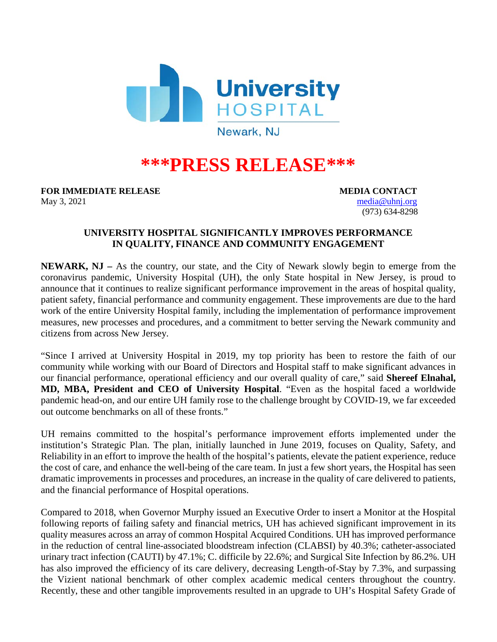

## **\*\*\*PRESS RELEASE\*\*\***

**FOR IMMEDIATE RELEASE MEDIA CONTACT** 

May 3, 2021 [media@uhnj.org](mailto:media@uhnj.org) (973) 634-8298

## **UNIVERSITY HOSPITAL SIGNIFICANTLY IMPROVES PERFORMANCE IN QUALITY, FINANCE AND COMMUNITY ENGAGEMENT**

**NEWARK, NJ –** As the country, our state, and the City of Newark slowly begin to emerge from the coronavirus pandemic, University Hospital (UH), the only State hospital in New Jersey, is proud to announce that it continues to realize significant performance improvement in the areas of hospital quality, patient safety, financial performance and community engagement. These improvements are due to the hard work of the entire University Hospital family, including the implementation of performance improvement measures, new processes and procedures, and a commitment to better serving the Newark community and citizens from across New Jersey.

"Since I arrived at University Hospital in 2019, my top priority has been to restore the faith of our community while working with our Board of Directors and Hospital staff to make significant advances in our financial performance, operational efficiency and our overall quality of care," said **Shereef Elnahal, MD, MBA, President and CEO of University Hospital**. "Even as the hospital faced a worldwide pandemic head-on, and our entire UH family rose to the challenge brought by COVID-19, we far exceeded out outcome benchmarks on all of these fronts."

UH remains committed to the hospital's performance improvement efforts implemented under the institution's Strategic Plan. The plan, initially launched in June 2019, focuses on Quality, Safety, and Reliability in an effort to improve the health of the hospital's patients, elevate the patient experience, reduce the cost of care, and enhance the well-being of the care team. In just a few short years, the Hospital has seen dramatic improvements in processes and procedures, an increase in the quality of care delivered to patients, and the financial performance of Hospital operations.

Compared to 2018, when Governor Murphy issued an Executive Order to insert a Monitor at the Hospital following reports of failing safety and financial metrics, UH has achieved significant improvement in its quality measures across an array of common Hospital Acquired Conditions. UH has improved performance in the reduction of central line-associated bloodstream infection (CLABSI) by 40.3%; catheter-associated urinary tract infection (CAUTI) by 47.1%; C. difficile by 22.6%; and Surgical Site Infection by 86.2%. UH has also improved the efficiency of its care delivery, decreasing Length-of-Stay by 7.3%, and surpassing the Vizient national benchmark of other complex academic medical centers throughout the country. Recently, these and other tangible improvements resulted in an upgrade to UH's Hospital Safety Grade of